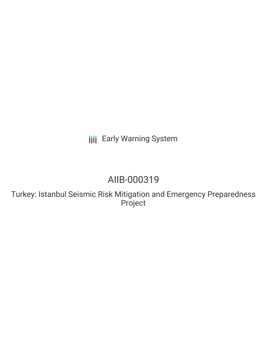# **III** Early Warning System

# AIIB-000319

Turkey: Istanbul Seismic Risk Mitigation and Emergency Preparedness Project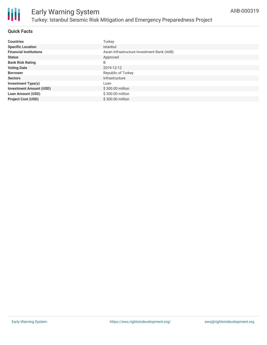

# Early Warning System Turkey: Istanbul Seismic Risk Mitigation and Emergency Preparedness Project

## **Quick Facts**

| <b>Countries</b>               | Turkey                                      |
|--------------------------------|---------------------------------------------|
| <b>Specific Location</b>       | Istanbul                                    |
| <b>Financial Institutions</b>  | Asian Infrastructure Investment Bank (AIIB) |
| <b>Status</b>                  | Approved                                    |
| <b>Bank Risk Rating</b>        | B                                           |
| <b>Voting Date</b>             | 2019-12-12                                  |
| <b>Borrower</b>                | Republic of Turkey                          |
| <b>Sectors</b>                 | Infrastructure                              |
| <b>Investment Type(s)</b>      | Loan                                        |
| <b>Investment Amount (USD)</b> | \$300.00 million                            |
| <b>Loan Amount (USD)</b>       | \$300.00 million                            |
| <b>Project Cost (USD)</b>      | \$300.00 million                            |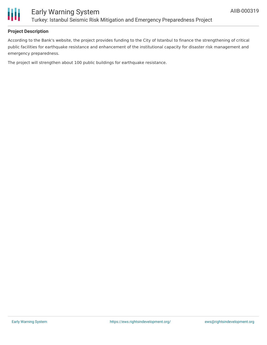

## **Project Description**

According to the Bank's website, the project provides funding to the City of Istanbul to finance the strengthening of critical public facilities for earthquake resistance and enhancement of the institutional capacity for disaster risk management and emergency preparedness.

The project will strengthen about 100 public buildings for earthquake resistance.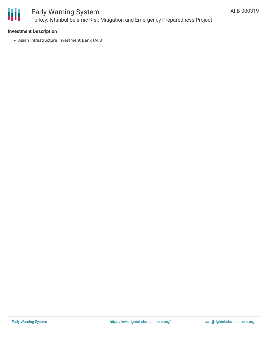

## Early Warning System Turkey: Istanbul Seismic Risk Mitigation and Emergency Preparedness Project

### **Investment Description**

Asian Infrastructure Investment Bank (AIIB)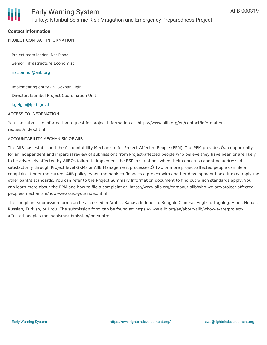

#### **Contact Information**

PROJECT CONTACT INFORMATION

Project team leader -Nat Pinnoi

Senior Infrastructure Economist

[nat.pinnoi@aiib.org](mailto:nat.pinnoi@aiib.org)

Implementing entity - K. Gokhan Elgin

Director, Istanbul Project Coordination Unit

#### [kgelgin@ipkb.gov.tr](mailto:kgelgin@ipkb.gov.trr)

#### ACCESS TO INFORMATION

You can submit an information request for project information at: https://www.aiib.org/en/contact/informationrequest/index.html

#### ACCOUNTABILITY MECHANISM OF AIIB

The AIIB has established the Accountability Mechanism for Project-Affected People (PPM). The PPM provides Òan opportunity for an independent and impartial review of submissions from Project-affected people who believe they have been or are likely to be adversely affected by AIIBÕs failure to implement the ESP in situations when their concerns cannot be addressed satisfactorily through Project level GRMs or AIIB Management processes.Ó Two or more project-affected people can file a complaint. Under the current AIIB policy, when the bank co-finances a project with another development bank, it may apply the other bank's standards. You can refer to the Project Summary Information document to find out which standards apply. You can learn more about the PPM and how to file a complaint at: https://www.aiib.org/en/about-aiib/who-we-are/project-affectedpeoples-mechanism/how-we-assist-you/index.html

The complaint submission form can be accessed in Arabic, Bahasa Indonesia, Bengali, Chinese, English, Tagalog, Hindi, Nepali, Russian, Turkish, or Urdu. The submission form can be found at: https://www.aiib.org/en/about-aiib/who-we-are/projectaffected-peoples-mechanism/submission/index.html